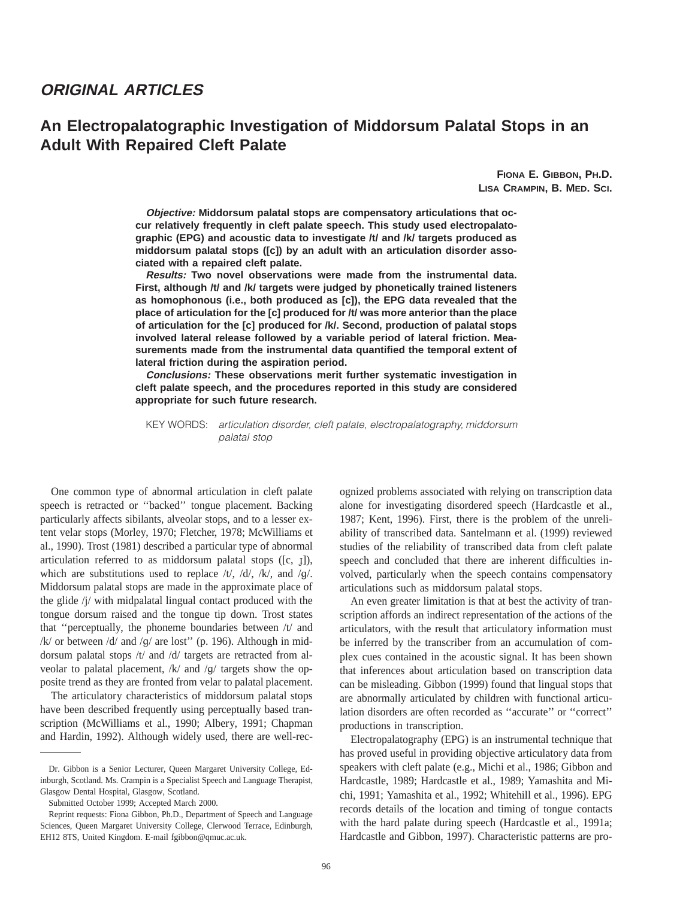# **ORIGINAL ARTICLES**

# **An Electropalatographic Investigation of Middorsum Palatal Stops in an Adult With Repaired Cleft Palate**

**FIONA E. GIBBON, PH.D. LISA CRAMPIN, B. MED. SCI.**

**Objective: Middorsum palatal stops are compensatory articulations that occur relatively frequently in cleft palate speech. This study used electropalatographic (EPG) and acoustic data to investigate /t/ and /k/ targets produced as middorsum palatal stops ([c]) by an adult with an articulation disorder associated with a repaired cleft palate.**

**Results: Two novel observations were made from the instrumental data. First, although /t/ and /k/ targets were judged by phonetically trained listeners as homophonous (i.e., both produced as [c]), the EPG data revealed that the place of articulation for the [c] produced for /t/ was more anterior than the place of articulation for the [c] produced for /k/. Second, production of palatal stops involved lateral release followed by a variable period of lateral friction. Measurements made from the instrumental data quantified the temporal extent of lateral friction during the aspiration period.**

**Conclusions: These observations merit further systematic investigation in cleft palate speech, and the procedures reported in this study are considered appropriate for such future research.**

KEY WORDS: articulation disorder, cleft palate, electropalatography, middorsum palatal stop

One common type of abnormal articulation in cleft palate speech is retracted or ''backed'' tongue placement. Backing particularly affects sibilants, alveolar stops, and to a lesser extent velar stops (Morley, 1970; Fletcher, 1978; McWilliams et al., 1990). Trost (1981) described a particular type of abnormal articulation referred to as middorsum palatal stops ([c, f]), which are substitutions used to replace  $/t/$ ,  $/d/$ ,  $/k/$ , and  $/g/$ . Middorsum palatal stops are made in the approximate place of the glide /j/ with midpalatal lingual contact produced with the tongue dorsum raised and the tongue tip down. Trost states that ''perceptually, the phoneme boundaries between /t/ and  $/k/$  or between  $/d/$  and  $/g/$  are lost" (p. 196). Although in middorsum palatal stops /t/ and /d/ targets are retracted from alveolar to palatal placement, /k/ and /g/ targets show the opposite trend as they are fronted from velar to palatal placement.

The articulatory characteristics of middorsum palatal stops have been described frequently using perceptually based transcription (McWilliams et al., 1990; Albery, 1991; Chapman and Hardin, 1992). Although widely used, there are well-recognized problems associated with relying on transcription data alone for investigating disordered speech (Hardcastle et al., 1987; Kent, 1996). First, there is the problem of the unreliability of transcribed data. Santelmann et al. (1999) reviewed studies of the reliability of transcribed data from cleft palate speech and concluded that there are inherent difficulties involved, particularly when the speech contains compensatory articulations such as middorsum palatal stops.

An even greater limitation is that at best the activity of transcription affords an indirect representation of the actions of the articulators, with the result that articulatory information must be inferred by the transcriber from an accumulation of complex cues contained in the acoustic signal. It has been shown that inferences about articulation based on transcription data can be misleading. Gibbon (1999) found that lingual stops that are abnormally articulated by children with functional articulation disorders are often recorded as ''accurate'' or ''correct'' productions in transcription.

Electropalatography (EPG) is an instrumental technique that has proved useful in providing objective articulatory data from speakers with cleft palate (e.g., Michi et al., 1986; Gibbon and Hardcastle, 1989; Hardcastle et al., 1989; Yamashita and Michi, 1991; Yamashita et al., 1992; Whitehill et al., 1996). EPG records details of the location and timing of tongue contacts with the hard palate during speech (Hardcastle et al., 1991a; Hardcastle and Gibbon, 1997). Characteristic patterns are pro-

Dr. Gibbon is a Senior Lecturer, Queen Margaret University College, Edinburgh, Scotland. Ms. Crampin is a Specialist Speech and Language Therapist, Glasgow Dental Hospital, Glasgow, Scotland.

Submitted October 1999; Accepted March 2000.

Reprint requests: Fiona Gibbon, Ph.D., Department of Speech and Language Sciences, Queen Margaret University College, Clerwood Terrace, Edinburgh, EH12 8TS, United Kingdom. E-mail fgibbon@qmuc.ac.uk.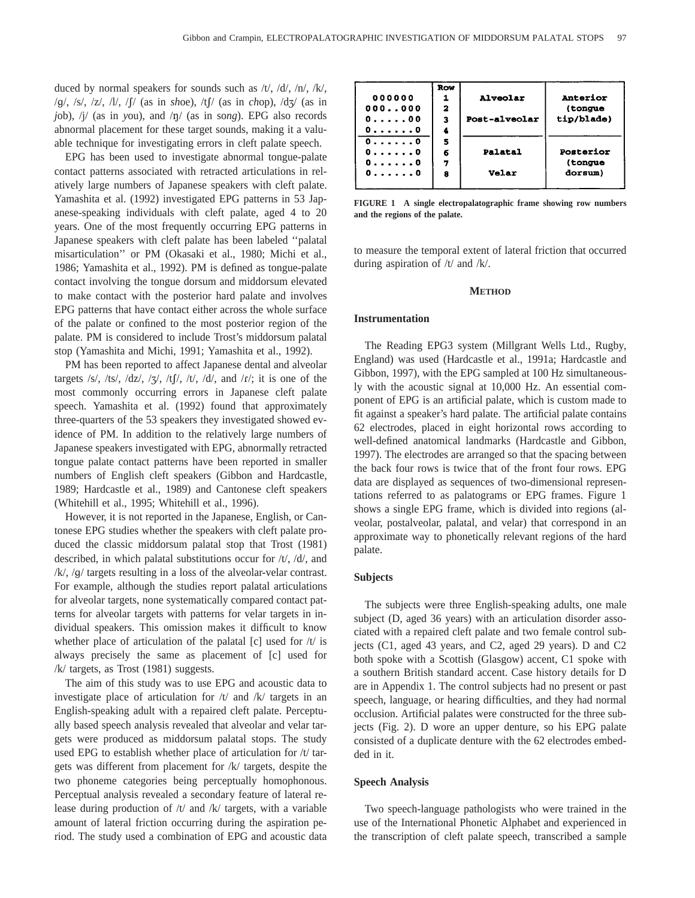duced by normal speakers for sounds such as /t/, /d/, /n/, /k/, /g/, /s/, /z/, /l/, /1/ (as in *sh*oe), /t1/ (as in *ch*op), /d^/ (as in *j*ob), /j/ (as in *y*ou), and /n/ (as in so*ng*). EPG also records abnormal placement for these target sounds, making it a valuable technique for investigating errors in cleft palate speech.

EPG has been used to investigate abnormal tongue-palate contact patterns associated with retracted articulations in relatively large numbers of Japanese speakers with cleft palate. Yamashita et al. (1992) investigated EPG patterns in 53 Japanese-speaking individuals with cleft palate, aged 4 to 20 years. One of the most frequently occurring EPG patterns in Japanese speakers with cleft palate has been labeled ''palatal misarticulation'' or PM (Okasaki et al., 1980; Michi et al., 1986; Yamashita et al., 1992). PM is defined as tongue-palate contact involving the tongue dorsum and middorsum elevated to make contact with the posterior hard palate and involves EPG patterns that have contact either across the whole surface of the palate or confined to the most posterior region of the palate. PM is considered to include Trost's middorsum palatal stop (Yamashita and Michi, 1991; Yamashita et al., 1992).

PM has been reported to affect Japanese dental and alveolar targets /s/, /ts/, /dz/, / $\frac{1}{3}$ /, /tf/, /t/, /d/, and /t/; it is one of the most commonly occurring errors in Japanese cleft palate speech. Yamashita et al. (1992) found that approximately three-quarters of the 53 speakers they investigated showed evidence of PM. In addition to the relatively large numbers of Japanese speakers investigated with EPG, abnormally retracted tongue palate contact patterns have been reported in smaller numbers of English cleft speakers (Gibbon and Hardcastle, 1989; Hardcastle et al., 1989) and Cantonese cleft speakers (Whitehill et al., 1995; Whitehill et al., 1996).

However, it is not reported in the Japanese, English, or Cantonese EPG studies whether the speakers with cleft palate produced the classic middorsum palatal stop that Trost (1981) described, in which palatal substitutions occur for /t/, /d/, and /k/, /g/ targets resulting in a loss of the alveolar-velar contrast. For example, although the studies report palatal articulations for alveolar targets, none systematically compared contact patterns for alveolar targets with patterns for velar targets in individual speakers. This omission makes it difficult to know whether place of articulation of the palatal  $[c]$  used for  $/t/$  is always precisely the same as placement of [c] used for /k/ targets, as Trost (1981) suggests.

The aim of this study was to use EPG and acoustic data to investigate place of articulation for  $/t/$  and  $/k/$  targets in an English-speaking adult with a repaired cleft palate. Perceptually based speech analysis revealed that alveolar and velar targets were produced as middorsum palatal stops. The study used EPG to establish whether place of articulation for /t/ targets was different from placement for /k/ targets, despite the two phoneme categories being perceptually homophonous. Perceptual analysis revealed a secondary feature of lateral release during production of /t/ and /k/ targets, with a variable amount of lateral friction occurring during the aspiration period. The study used a combination of EPG and acoustic data

|           | Row |                 |                 |
|-----------|-----|-----------------|-----------------|
| 000000    |     | <b>Alveolar</b> | <b>Anterior</b> |
| 000.000   | 2   |                 | (tongue         |
| 0.1.1.00  | з   | Post-alveolar   | tip/blade)      |
| 00        | 4   |                 |                 |
| 0.1.1.0   | 5   |                 |                 |
| 0. 0      | 6   | Palatal         | Posterior       |
| 0.1.1.1.0 | 7   |                 | (tongue         |
| 0.1.1.1.0 | 8   | <b>Velar</b>    | dorsum)         |

**FIGURE 1 A single electropalatographic frame showing row numbers and the regions of the palate.**

to measure the temporal extent of lateral friction that occurred during aspiration of /t/ and /k/.

## **METHOD**

# **Instrumentation**

The Reading EPG3 system (Millgrant Wells Ltd., Rugby, England) was used (Hardcastle et al., 1991a; Hardcastle and Gibbon, 1997), with the EPG sampled at 100 Hz simultaneously with the acoustic signal at 10,000 Hz. An essential component of EPG is an artificial palate, which is custom made to fit against a speaker's hard palate. The artificial palate contains 62 electrodes, placed in eight horizontal rows according to well-defined anatomical landmarks (Hardcastle and Gibbon, 1997). The electrodes are arranged so that the spacing between the back four rows is twice that of the front four rows. EPG data are displayed as sequences of two-dimensional representations referred to as palatograms or EPG frames. Figure 1 shows a single EPG frame, which is divided into regions (alveolar, postalveolar, palatal, and velar) that correspond in an approximate way to phonetically relevant regions of the hard palate.

#### **Subjects**

The subjects were three English-speaking adults, one male subject (D, aged 36 years) with an articulation disorder associated with a repaired cleft palate and two female control subjects (C1, aged 43 years, and C2, aged 29 years). D and C2 both spoke with a Scottish (Glasgow) accent, C1 spoke with a southern British standard accent. Case history details for D are in Appendix 1. The control subjects had no present or past speech, language, or hearing difficulties, and they had normal occlusion. Artificial palates were constructed for the three subjects (Fig. 2). D wore an upper denture, so his EPG palate consisted of a duplicate denture with the 62 electrodes embedded in it.

#### **Speech Analysis**

Two speech-language pathologists who were trained in the use of the International Phonetic Alphabet and experienced in the transcription of cleft palate speech, transcribed a sample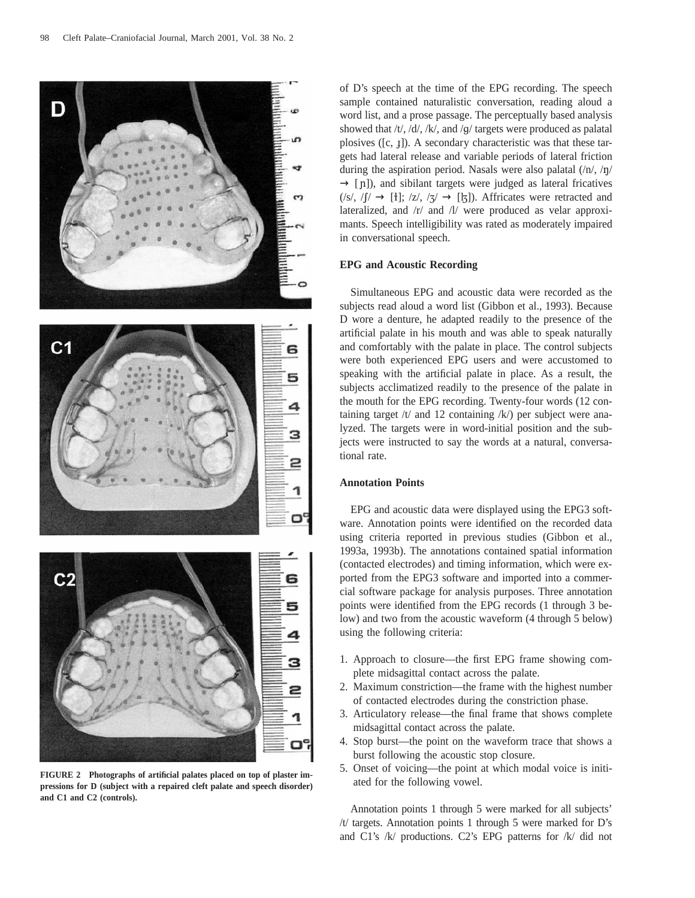

**FIGURE 2 Photographs of artificial palates placed on top of plaster impressions for D (subject with a repaired cleft palate and speech disorder) and C1 and C2 (controls).**

of D's speech at the time of the EPG recording. The speech sample contained naturalistic conversation, reading aloud a word list, and a prose passage. The perceptually based analysis showed that /t/, /d/, /k/, and /g/ targets were produced as palatal plosives  $([c, 1])$ . A secondary characteristic was that these targets had lateral release and variable periods of lateral friction during the aspiration period. Nasals were also palatal  $\frac{\ln \sqrt{n}}{\sqrt{n}}$  $\rightarrow$  [n]), and sibilant targets were judged as lateral fricatives  $(|s|, |f| \rightarrow [1]; |z|, |z| \rightarrow [1])$ . Affricates were retracted and lateralized, and /r/ and /l/ were produced as velar approximants. Speech intelligibility was rated as moderately impaired in conversational speech.

# **EPG and Acoustic Recording**

Simultaneous EPG and acoustic data were recorded as the subjects read aloud a word list (Gibbon et al., 1993). Because D wore a denture, he adapted readily to the presence of the artificial palate in his mouth and was able to speak naturally and comfortably with the palate in place. The control subjects were both experienced EPG users and were accustomed to speaking with the artificial palate in place. As a result, the subjects acclimatized readily to the presence of the palate in the mouth for the EPG recording. Twenty-four words (12 containing target  $/t/$  and 12 containing  $/k/$ ) per subject were analyzed. The targets were in word-initial position and the subjects were instructed to say the words at a natural, conversational rate.

# **Annotation Points**

EPG and acoustic data were displayed using the EPG3 software. Annotation points were identified on the recorded data using criteria reported in previous studies (Gibbon et al., 1993a, 1993b). The annotations contained spatial information (contacted electrodes) and timing information, which were exported from the EPG3 software and imported into a commercial software package for analysis purposes. Three annotation points were identified from the EPG records (1 through 3 below) and two from the acoustic waveform (4 through 5 below) using the following criteria:

- 1. Approach to closure—the first EPG frame showing complete midsagittal contact across the palate.
- 2. Maximum constriction—the frame with the highest number of contacted electrodes during the constriction phase.
- 3. Articulatory release—the final frame that shows complete midsagittal contact across the palate.
- 4. Stop burst—the point on the waveform trace that shows a burst following the acoustic stop closure.
- 5. Onset of voicing—the point at which modal voice is initiated for the following vowel.

Annotation points 1 through 5 were marked for all subjects' /t/ targets. Annotation points 1 through 5 were marked for D's and C1's /k/ productions. C2's EPG patterns for /k/ did not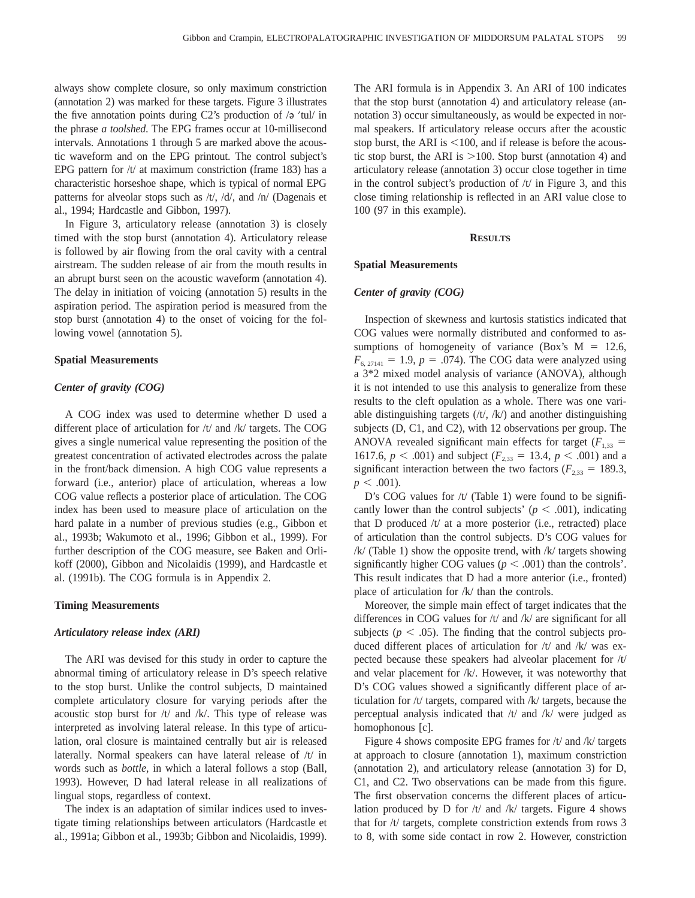always show complete closure, so only maximum constriction (annotation 2) was marked for these targets. Figure 3 illustrates the five annotation points during C2's production of  $\sqrt{e^2 + 4}$  in the phrase *a toolshed*. The EPG frames occur at 10-millisecond intervals. Annotations 1 through 5 are marked above the acoustic waveform and on the EPG printout. The control subject's EPG pattern for  $/t/$  at maximum constriction (frame 183) has a characteristic horseshoe shape, which is typical of normal EPG patterns for alveolar stops such as  $/t/$ ,  $/d/$ , and  $/n/$  (Dagenais et al., 1994; Hardcastle and Gibbon, 1997).

In Figure 3, articulatory release (annotation 3) is closely timed with the stop burst (annotation 4). Articulatory release is followed by air flowing from the oral cavity with a central airstream. The sudden release of air from the mouth results in an abrupt burst seen on the acoustic waveform (annotation 4). The delay in initiation of voicing (annotation 5) results in the aspiration period. The aspiration period is measured from the stop burst (annotation 4) to the onset of voicing for the following vowel (annotation 5).

#### **Spatial Measurements**

# *Center of gravity (COG)*

A COG index was used to determine whether D used a different place of articulation for /t/ and /k/ targets. The COG gives a single numerical value representing the position of the greatest concentration of activated electrodes across the palate in the front/back dimension. A high COG value represents a forward (i.e., anterior) place of articulation, whereas a low COG value reflects a posterior place of articulation. The COG index has been used to measure place of articulation on the hard palate in a number of previous studies (e.g., Gibbon et al., 1993b; Wakumoto et al., 1996; Gibbon et al., 1999). For further description of the COG measure, see Baken and Orlikoff (2000), Gibbon and Nicolaidis (1999), and Hardcastle et al. (1991b). The COG formula is in Appendix 2.

## **Timing Measurements**

## *Articulatory release index (ARI)*

The ARI was devised for this study in order to capture the abnormal timing of articulatory release in D's speech relative to the stop burst. Unlike the control subjects, D maintained complete articulatory closure for varying periods after the acoustic stop burst for /t/ and /k/. This type of release was interpreted as involving lateral release. In this type of articulation, oral closure is maintained centrally but air is released laterally. Normal speakers can have lateral release of /t/ in words such as *bottle,* in which a lateral follows a stop (Ball, 1993). However, D had lateral release in all realizations of lingual stops, regardless of context.

The index is an adaptation of similar indices used to investigate timing relationships between articulators (Hardcastle et al., 1991a; Gibbon et al., 1993b; Gibbon and Nicolaidis, 1999). The ARI formula is in Appendix 3. An ARI of 100 indicates that the stop burst (annotation 4) and articulatory release (annotation 3) occur simultaneously, as would be expected in normal speakers. If articulatory release occurs after the acoustic stop burst, the ARI is  $<100$ , and if release is before the acoustic stop burst, the ARI is  $>100$ . Stop burst (annotation 4) and articulatory release (annotation 3) occur close together in time in the control subject's production of  $/t/$  in Figure 3, and this close timing relationship is reflected in an ARI value close to 100 (97 in this example).

#### **RESULTS**

## **Spatial Measurements**

## *Center of gravity (COG)*

Inspection of skewness and kurtosis statistics indicated that COG values were normally distributed and conformed to assumptions of homogeneity of variance (Box's  $M = 12.6$ ,  $F_{6, 27141} = 1.9, p = .074$ . The COG data were analyzed using a 3\*2 mixed model analysis of variance (ANOVA), although it is not intended to use this analysis to generalize from these results to the cleft opulation as a whole. There was one variable distinguishing targets  $(\forall t, /k)$  and another distinguishing subjects (D, C1, and C2), with 12 observations per group. The ANOVA revealed significant main effects for target  $(F_{1,33} =$ 1617.6,  $p < .001$ ) and subject ( $F_{2,33} = 13.4$ ,  $p < .001$ ) and a significant interaction between the two factors ( $F_{2,33} = 189.3$ ,  $p < .001$ ).

D's COG values for  $/t/$  (Table 1) were found to be significantly lower than the control subjects' ( $p < .001$ ), indicating that D produced /t/ at a more posterior (i.e., retracted) place of articulation than the control subjects. D's COG values for  $/k/$  (Table 1) show the opposite trend, with  $/k/$  targets showing significantly higher COG values ( $p < .001$ ) than the controls'. This result indicates that D had a more anterior (i.e., fronted) place of articulation for /k/ than the controls.

Moreover, the simple main effect of target indicates that the differences in COG values for /t/ and /k/ are significant for all subjects ( $p < .05$ ). The finding that the control subjects produced different places of articulation for  $/t/$  and  $/k/$  was expected because these speakers had alveolar placement for /t/ and velar placement for /k/. However, it was noteworthy that D's COG values showed a significantly different place of articulation for /t/ targets, compared with /k/ targets, because the perceptual analysis indicated that /t/ and /k/ were judged as homophonous [c].

Figure 4 shows composite EPG frames for /t/ and /k/ targets at approach to closure (annotation 1), maximum constriction (annotation 2), and articulatory release (annotation 3) for D, C1, and C2. Two observations can be made from this figure. The first observation concerns the different places of articulation produced by D for  $/t$  and  $/k$  targets. Figure 4 shows that for /t/ targets, complete constriction extends from rows 3 to 8, with some side contact in row 2. However, constriction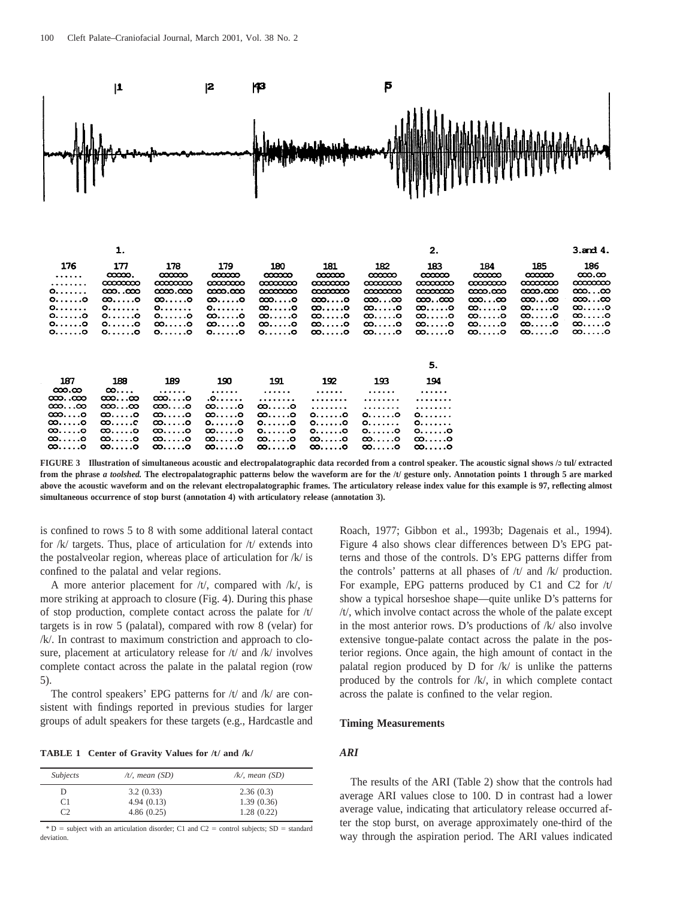

1.  $2.$  $3.$ and  $4.$ 176 177 178 179 180 181 182 183 184 185 186  $\infty$  $\infty$  $\infty$  $\infty$  $\infty$  $\infty$ ထထထ  $\infty$  $\infty$  $\infty$ . $\infty$ . . . . . . . . . . . .  $\alpha$  $\alpha$  $\alpha$  $\alpha$   $\alpha$   $\alpha$   $\alpha$  $\infty$ ണനന  $\infty$  $\alpha$  $\alpha$  $\alpha$  $0.00000$  $\infty$ ... $\infty$  $\infty$ .coo  $\infty$  $\alpha$   $\alpha$  $\infty$  $\alpha$  $\infty$  $\alpha\alpha$  $\infty$ . $\infty$  $0.1110$  $\infty$ ....o  $\infty$ ... $\infty$ ∞…∞ ∞…∞  $\infty$ ....o ထ. . . . . . ၀  $\infty$ ...o ∞....o ထာ...ထ  $\infty$ .coo ထ…..၀  $\overline{0}\ldots$ ထ…..၀ ထ. . . . . . ၀ 0. . . . . . .  $0. . . . . . .$ 0. . . . . . .  $\infty$ ....o ထ…..ဝ ထ….၀ ∞……o  $0.00000$  $0. \ldots .0$  $0. \ldots .0$  $\infty$ ....o  $\infty$ ....o ထ….၀ ∞……о  $\infty$ ....o ∞……o  $\infty$ ....o  $\infty$ .... $\circ$ 00. . . . . 0  $\infty$ .... $\circ$  $\infty$ ....o  $0.00000$  $0.0000$  $\infty$ ....o  $\infty$ .... $\circ$ ထ. . . . . . ၀  $\infty$ ....o  $\infty$ ....o  $\infty$ .... $\circ$  $0.0000$  $0.0000$ 0. . . . . . 0  $0.00000$  $0.00000$ ထ. . . . . . ၀ ထ. . . . . . ၀  $\infty$ .... $\circ$ ထ. . . . . . c ထ…..၀ ထ. . . . . ၀ 5. 190 191 194 187 188 189 192 193  $\infty$ . $\infty$  $\infty$ ...  $\cdots$ . . . . . . . . . . . . . . . . . . . . . . . . ထာ..ထာ  $\infty$ ... $\infty$  $\infty$ ...o  $0...$ . . . . . . . . . . . . . . . . . . . . . . . . . . . . . . .  $\infty$ ... $\infty$ ထာ...ထ  $\infty$ ...o  $\infty$ ....o ထ. . . . .၀ . . . . . . . . . . . . . . . . . . . . . . ထာ....၀  $\infty$ ....o  $\infty$ ....o ထ. . . . .၀ ထ…..၀  $0. \ldots .0$  $0.0000$ 0. . . . . . . ∞…..о  $\infty$ .... $\infty$  $\infty$ ....o  $0. \ldots .0$  $0. \ldots .0$  $0. \ldots .0$  $0. . . . . .$ 0. . . . . . . ထ. . . . .ဝ  $\infty$ ....o ထ. . . . . ၀ ထ…..ဝ  $0. \ldots .0$  $0. \ldots .0$  $0. \ldots .0$ 0. . . . . . 0 . . . . 0  $\ldots$ . 8 . . . . . 0  $\infty$ ∞. ထ…..ဝ  $\infty$ ....o ထ. . . . . .ဝ  $\infty$ ....o ထ. . . . . . ၀ ထ.....၀ ထ. . . . . . ၀  $\infty$ .... $\circ$  $\infty$ ....o  $\infty$ ....o  $\infty$ .... $\circ$ ထ. . . . . . ၀  $\infty$ ....o

FIGURE 3 Illustration of simultaneous acoustic and electropalatographic data recorded from a control speaker. The acoustic signal shows /*a* tul/ extracted **from the phrase** *a toolshed.* **The electropalatographic patterns below the waveform are for the /t/ gesture only. Annotation points 1 through 5 are marked above the acoustic waveform and on the relevant electropalatographic frames. The articulatory release index value for this example is 97, reflecting almost simultaneous occurrence of stop burst (annotation 4) with articulatory release (annotation 3).**

is confined to rows 5 to 8 with some additional lateral contact for  $/k/$  targets. Thus, place of articulation for  $/t/$  extends into the postalveolar region, whereas place of articulation for /k/ is confined to the palatal and velar regions.

A more anterior placement for  $/t$ , compared with  $/k$ , is more striking at approach to closure (Fig. 4). During this phase of stop production, complete contact across the palate for  $/t/$ targets is in row 5 (palatal), compared with row 8 (velar) for /k/. In contrast to maximum constriction and approach to closure, placement at articulatory release for /t/ and /k/ involves complete contact across the palate in the palatal region (row 5).

The control speakers' EPG patterns for  $/t/$  and  $/k/$  are consistent with findings reported in previous studies for larger groups of adult speakers for these targets (e.g., Hardcastle and

**TABLE 1 Center of Gravity Values for /t/ and /k/**

| Subjects | /t/, mean $(SD)$ | $\mathcal{R}$ , mean (SD) |
|----------|------------------|---------------------------|
| D        | 3.2(0.33)        | 2.36(0.3)                 |
| C1       | 4.94(0.13)       | 1.39(0.36)                |
| ി        | 4.86(0.25)       | 1.28(0.22)                |

 $*$  D = subject with an articulation disorder; C1 and C2 = control subjects; SD = standard deviation

Roach, 1977; Gibbon et al., 1993b; Dagenais et al., 1994). Figure 4 also shows clear differences between D's EPG patterns and those of the controls. D's EPG patterns differ from the controls' patterns at all phases of /t/ and /k/ production. For example, EPG patterns produced by C1 and C2 for /t/ show a typical horseshoe shape—quite unlike D's patterns for /t/, which involve contact across the whole of the palate except in the most anterior rows. D's productions of /k/ also involve extensive tongue-palate contact across the palate in the posterior regions. Once again, the high amount of contact in the palatal region produced by  $D$  for  $/k/$  is unlike the patterns produced by the controls for /k/, in which complete contact across the palate is confined to the velar region.

#### **Timing Measurements**

# *ARI*

The results of the ARI (Table 2) show that the controls had average ARI values close to 100. D in contrast had a lower average value, indicating that articulatory release occurred after the stop burst, on average approximately one-third of the way through the aspiration period. The ARI values indicated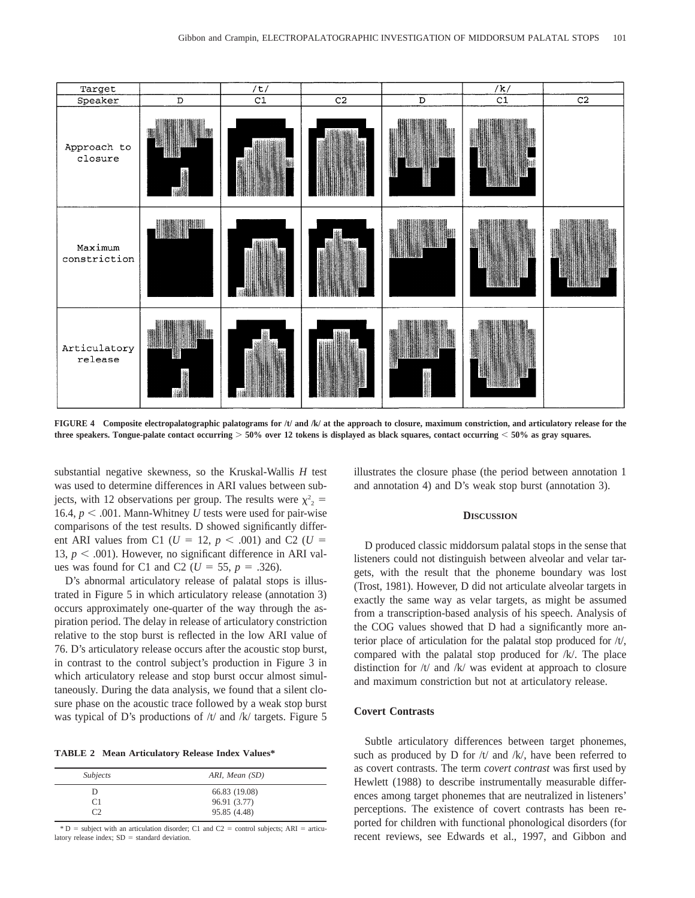

**FIGURE 4 Composite electropalatographic palatograms for /t/ and /k/ at the approach to closure, maximum constriction, and articulatory release for the three speakers. Tongue-palate contact occurring** . **50% over 12 tokens is displayed as black squares, contact occurring** , **50% as gray squares.**

substantial negative skewness, so the Kruskal-Wallis *H* test was used to determine differences in ARI values between subjects, with 12 observations per group. The results were  $\chi^2$  = 16.4,  $p < .001$ . Mann-Whitney *U* tests were used for pair-wise comparisons of the test results. D showed significantly different ARI values from C1 ( $U = 12$ ,  $p < .001$ ) and C2 ( $U =$ 13,  $p < .001$ ). However, no significant difference in ARI values was found for C1 and C2 ( $U = 55$ ,  $p = .326$ ).

D's abnormal articulatory release of palatal stops is illustrated in Figure 5 in which articulatory release (annotation 3) occurs approximately one-quarter of the way through the aspiration period. The delay in release of articulatory constriction relative to the stop burst is reflected in the low ARI value of 76. D's articulatory release occurs after the acoustic stop burst, in contrast to the control subject's production in Figure 3 in which articulatory release and stop burst occur almost simultaneously. During the data analysis, we found that a silent closure phase on the acoustic trace followed by a weak stop burst was typical of D's productions of /t/ and /k/ targets. Figure 5

**TABLE 2 Mean Articulatory Release Index Values\***

| Subjects      | ARI, Mean (SD) |
|---------------|----------------|
|               | 66.83 (19.08)  |
| C1            | 96.91 (3.77)   |
| $\mathcal{C}$ | 95.85 (4.48)   |

 $*$  D = subject with an articulation disorder; C1 and C2 = control subjects; ARI = articulatory release index;  $SD =$  standard deviation.

illustrates the closure phase (the period between annotation 1 and annotation 4) and D's weak stop burst (annotation 3).

## **DISCUSSION**

D produced classic middorsum palatal stops in the sense that listeners could not distinguish between alveolar and velar targets, with the result that the phoneme boundary was lost (Trost, 1981). However, D did not articulate alveolar targets in exactly the same way as velar targets, as might be assumed from a transcription-based analysis of his speech. Analysis of the COG values showed that D had a significantly more anterior place of articulation for the palatal stop produced for /t/, compared with the palatal stop produced for /k/. The place distinction for /t/ and /k/ was evident at approach to closure and maximum constriction but not at articulatory release.

# **Covert Contrasts**

Subtle articulatory differences between target phonemes, such as produced by D for  $/t/$  and  $/k/$ , have been referred to as covert contrasts. The term *covert contrast* was first used by Hewlett (1988) to describe instrumentally measurable differences among target phonemes that are neutralized in listeners' perceptions. The existence of covert contrasts has been reported for children with functional phonological disorders (for recent reviews, see Edwards et al., 1997, and Gibbon and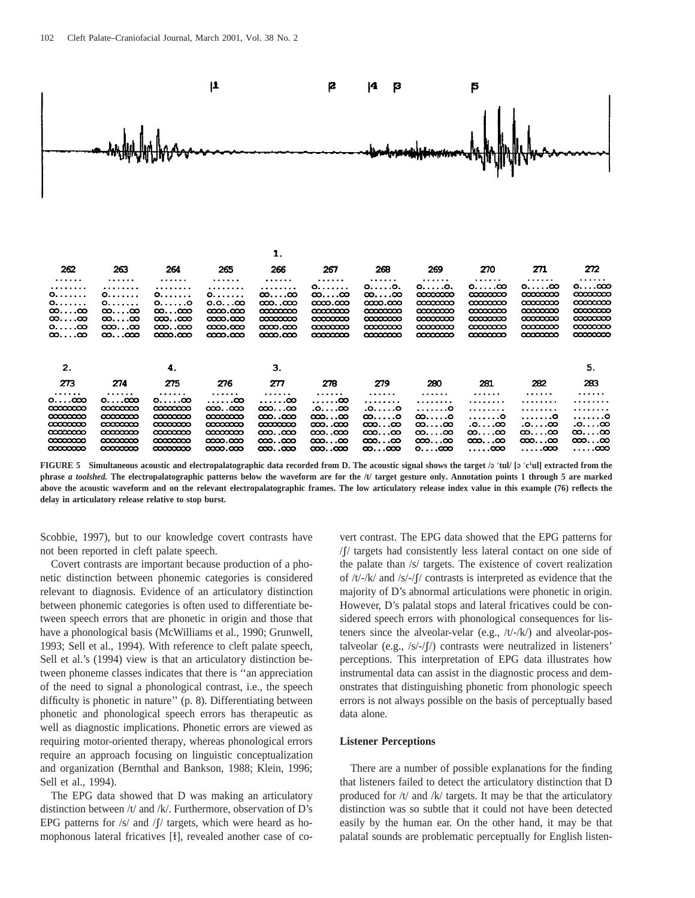

|                   |                   |                                    |                                  | --                  |                   |                           |                   |                   |                   |                   |
|-------------------|-------------------|------------------------------------|----------------------------------|---------------------|-------------------|---------------------------|-------------------|-------------------|-------------------|-------------------|
| 262               | 263               | 264                                | 265                              | 266                 | 267               | 268                       | 269               | 270               | 271               | 272               |
|                   |                   | .                                  |                                  | .                   | .                 |                           | .                 | .                 | .                 | .                 |
| .                 | .                 | .                                  | .                                |                     | 0.00000           | $0, \ldots$ . $0, \ldots$ | 0.0.              | $0, \ldots$ .co   | $0, \ldots$ .co   | $0. \ldots$ .coo  |
| 0.00000           |                   |                                    |                                  | $\infty$ $\infty$   | $\infty$ $\infty$ | $\infty$ $\infty$         | $\infty$          | $\infty$          | $\infty$          | <b>00000000</b>   |
| 0.0000            | 0.00000           | 0.0000                             | $0.0$ $\infty$                   | ထာထာ                | $\infty$          | $\infty$                  | $\alpha$          | $\alpha$          | $\infty$          | $\infty$          |
| $\infty$ $\infty$ | $\infty$ $\infty$ | $\infty$ $\infty$                  | $\infty$                         | $\infty$            | $\infty$          | $\infty$                  | $\alpha$          | $\infty$          | $\infty$          | $\infty$          |
| $\infty$ $\infty$ | $\infty$ $\infty$ | $\infty$ .coo                      | $\infty$                         | $\infty$            | $\infty$          | $\infty$                  | $\infty$          | $\infty$          | $\infty$          | $\infty$          |
| 0.000             | $\infty$ $\infty$ | $\infty$ .coo                      | $\infty$ . $\infty$              | $\infty$ . $\infty$ | $\infty$          | $\infty$                  | <b>∞∞∞</b>        | $\infty$          | $\alpha$          | $\infty$          |
| $\infty$ $\infty$ | $\infty$ $\infty$ | 0000.000                           | $\infty$ . $\infty$              | $\infty$            | $\infty$          | $\infty$                  | <b>00000000</b>   | $\alpha$          | $\infty$          | <b>00000000</b>   |
| 2.                |                   | 4.                                 |                                  | 3.                  |                   |                           |                   |                   |                   | 5.                |
| 273               | 274               | 275                                | 276                              | 277                 | 278               | 279                       | 280               | 281               | 282               | 283               |
| .                 | .                 | .                                  | .                                | .                   | .                 | .                         | .                 | .                 | .                 | .                 |
| $0, \ldots$ cco   | $0. \ldots 000$   | $\mathbf{0} \dots \mathbf{\infty}$ | . 00                             | $\ldots$ $\infty$   | . 00              | .                         | .                 | .                 | .                 | .                 |
| $\infty$          | $\infty$          | <b>00000000</b>                    | $\infty$ $\infty$                | $\infty$ $\infty$   | .o.               | .0.0                      | . 0               | .                 | .                 | .                 |
| $\infty$          | $\infty$          | $\infty$                           | $\alpha\alpha\alpha\alpha\alpha$ | ന്മാനാ              | $\infty$ $\infty$ | $\infty$ $\circ$          | $\infty$ $\circ$  | . 0               | .0                | . 0               |
| $\infty$          | $\infty$          | <b>00000000</b>                    | $\infty$                         | $\infty$            | $\infty$ $\infty$ | $\infty$ $\infty$         | $\infty$ $\infty$ |                   | .0.00             | .0.00             |
| $\infty$          |                   | $\infty$                           | $\infty$                         | $\infty$ .coo       | $\infty$ $\infty$ | $\infty$ $\infty$         | $\infty$ $\infty$ | $\infty$ $\infty$ | $\infty$ $\infty$ | $\infty$ $\infty$ |
| $\infty$          | <b>00000000</b>   | $\infty$                           | $\infty$                         | $\infty$ $\infty$   | $\infty$ $\infty$ | $\infty$ $\infty$         | $\infty$ $\infty$ | $\infty$ $\infty$ | $\infty$ $\infty$ | $\infty$ $\infty$ |
| $\infty$          |                   | <b>00000000</b>                    | $\infty$                         | $\infty$ $\infty$   | $\infty$ $\infty$ | $\infty$ $\infty$         | 0.000             | $\ldots$ .coo     | $\ldots$ .coo     | $\ldots$ .coo     |
|                   |                   |                                    |                                  |                     |                   |                           |                   |                   |                   |                   |

**FIGURE 5 Simultaneous acoustic and electropalatographic data recorded from D. The acoustic signal shows the target /**E )**tul/ [**E )**c1 ul] extracted from the phrase** *a toolshed.* **The electropalatographic patterns below the waveform are for the /t/ target gesture only. Annotation points 1 through 5 are marked above the acoustic waveform and on the relevant electropalatographic frames. The low articulatory release index value in this example (76) reflects the delay in articulatory release relative to stop burst.**

Scobbie, 1997), but to our knowledge covert contrasts have not been reported in cleft palate speech.

Covert contrasts are important because production of a phonetic distinction between phonemic categories is considered relevant to diagnosis. Evidence of an articulatory distinction between phonemic categories is often used to differentiate between speech errors that are phonetic in origin and those that have a phonological basis (McWilliams et al., 1990; Grunwell, 1993; Sell et al., 1994). With reference to cleft palate speech, Sell et al.'s (1994) view is that an articulatory distinction between phoneme classes indicates that there is ''an appreciation of the need to signal a phonological contrast, i.e., the speech difficulty is phonetic in nature'' (p. 8). Differentiating between phonetic and phonological speech errors has therapeutic as well as diagnostic implications. Phonetic errors are viewed as requiring motor-oriented therapy, whereas phonological errors require an approach focusing on linguistic conceptualization and organization (Bernthal and Bankson, 1988; Klein, 1996; Sell et al., 1994).

The EPG data showed that D was making an articulatory distinction between /t/ and /k/. Furthermore, observation of D's EPG patterns for  $/s/$  and  $/f/$  targets, which were heard as homophonous lateral fricatives [1], revealed another case of covert contrast. The EPG data showed that the EPG patterns for /1/ targets had consistently less lateral contact on one side of the palate than /s/ targets. The existence of covert realization of  $/t$ -/k/ and /s/-/f/ contrasts is interpreted as evidence that the majority of D's abnormal articulations were phonetic in origin. However, D's palatal stops and lateral fricatives could be considered speech errors with phonological consequences for listeners since the alveolar-velar (e.g., /t/-/k/) and alveolar-postalveolar (e.g.,  $\frac{s}{f}$  /s/- $\frac{f}{f}$ ) contrasts were neutralized in listeners' perceptions. This interpretation of EPG data illustrates how instrumental data can assist in the diagnostic process and demonstrates that distinguishing phonetic from phonologic speech errors is not always possible on the basis of perceptually based data alone.

# **Listener Perceptions**

There are a number of possible explanations for the finding that listeners failed to detect the articulatory distinction that D produced for /t/ and /k/ targets. It may be that the articulatory distinction was so subtle that it could not have been detected easily by the human ear. On the other hand, it may be that palatal sounds are problematic perceptually for English listen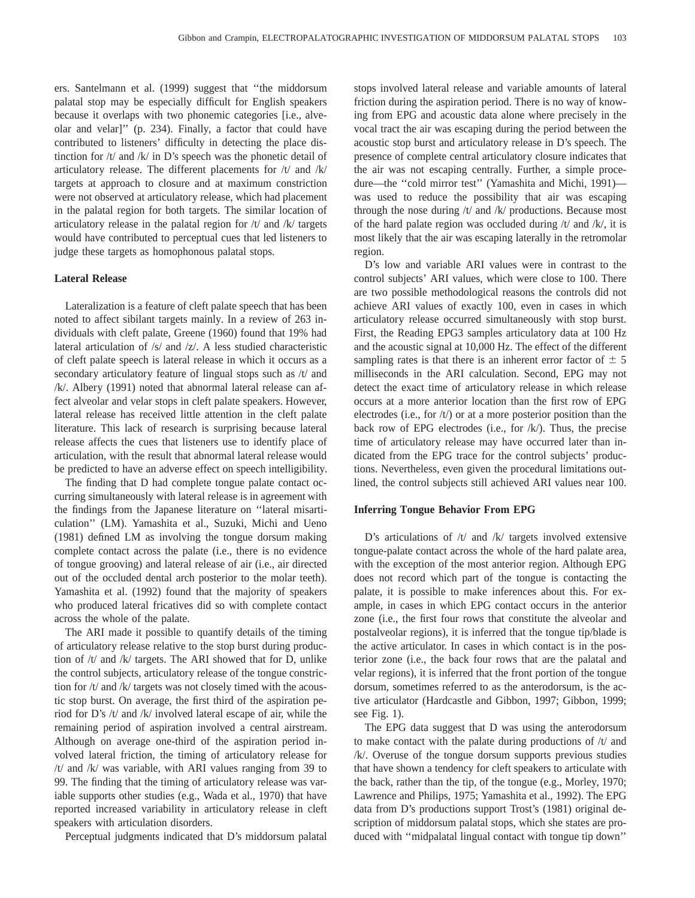ers. Santelmann et al. (1999) suggest that ''the middorsum palatal stop may be especially difficult for English speakers because it overlaps with two phonemic categories [i.e., alveolar and velar]'' (p. 234). Finally, a factor that could have contributed to listeners' difficulty in detecting the place distinction for  $/t/$  and  $/k/$  in D's speech was the phonetic detail of articulatory release. The different placements for /t/ and /k/ targets at approach to closure and at maximum constriction were not observed at articulatory release, which had placement in the palatal region for both targets. The similar location of articulatory release in the palatal region for /t/ and /k/ targets would have contributed to perceptual cues that led listeners to judge these targets as homophonous palatal stops.

# **Lateral Release**

Lateralization is a feature of cleft palate speech that has been noted to affect sibilant targets mainly. In a review of 263 individuals with cleft palate, Greene (1960) found that 19% had lateral articulation of /s/ and /z/. A less studied characteristic of cleft palate speech is lateral release in which it occurs as a secondary articulatory feature of lingual stops such as /t/ and /k/. Albery (1991) noted that abnormal lateral release can affect alveolar and velar stops in cleft palate speakers. However, lateral release has received little attention in the cleft palate literature. This lack of research is surprising because lateral release affects the cues that listeners use to identify place of articulation, with the result that abnormal lateral release would be predicted to have an adverse effect on speech intelligibility.

The finding that D had complete tongue palate contact occurring simultaneously with lateral release is in agreement with the findings from the Japanese literature on ''lateral misarticulation'' (LM). Yamashita et al., Suzuki, Michi and Ueno (1981) defined LM as involving the tongue dorsum making complete contact across the palate (i.e., there is no evidence of tongue grooving) and lateral release of air (i.e., air directed out of the occluded dental arch posterior to the molar teeth). Yamashita et al. (1992) found that the majority of speakers who produced lateral fricatives did so with complete contact across the whole of the palate.

The ARI made it possible to quantify details of the timing of articulatory release relative to the stop burst during production of /t/ and /k/ targets. The ARI showed that for D, unlike the control subjects, articulatory release of the tongue constriction for /t/ and /k/ targets was not closely timed with the acoustic stop burst. On average, the first third of the aspiration period for D's /t/ and /k/ involved lateral escape of air, while the remaining period of aspiration involved a central airstream. Although on average one-third of the aspiration period involved lateral friction, the timing of articulatory release for /t/ and /k/ was variable, with ARI values ranging from 39 to 99. The finding that the timing of articulatory release was variable supports other studies (e.g., Wada et al., 1970) that have reported increased variability in articulatory release in cleft speakers with articulation disorders.

Perceptual judgments indicated that D's middorsum palatal

stops involved lateral release and variable amounts of lateral friction during the aspiration period. There is no way of knowing from EPG and acoustic data alone where precisely in the vocal tract the air was escaping during the period between the acoustic stop burst and articulatory release in D's speech. The presence of complete central articulatory closure indicates that the air was not escaping centrally. Further, a simple procedure—the ''cold mirror test'' (Yamashita and Michi, 1991) was used to reduce the possibility that air was escaping through the nose during /t/ and /k/ productions. Because most of the hard palate region was occluded during /t/ and /k/, it is most likely that the air was escaping laterally in the retromolar region.

D's low and variable ARI values were in contrast to the control subjects' ARI values, which were close to 100. There are two possible methodological reasons the controls did not achieve ARI values of exactly 100, even in cases in which articulatory release occurred simultaneously with stop burst. First, the Reading EPG3 samples articulatory data at 100 Hz and the acoustic signal at 10,000 Hz. The effect of the different sampling rates is that there is an inherent error factor of  $\pm$  5 milliseconds in the ARI calculation. Second, EPG may not detect the exact time of articulatory release in which release occurs at a more anterior location than the first row of EPG electrodes (i.e., for /t/) or at a more posterior position than the back row of EPG electrodes (i.e., for /k/). Thus, the precise time of articulatory release may have occurred later than indicated from the EPG trace for the control subjects' productions. Nevertheless, even given the procedural limitations outlined, the control subjects still achieved ARI values near 100.

# **Inferring Tongue Behavior From EPG**

D's articulations of /t/ and /k/ targets involved extensive tongue-palate contact across the whole of the hard palate area, with the exception of the most anterior region. Although EPG does not record which part of the tongue is contacting the palate, it is possible to make inferences about this. For example, in cases in which EPG contact occurs in the anterior zone (i.e., the first four rows that constitute the alveolar and postalveolar regions), it is inferred that the tongue tip/blade is the active articulator. In cases in which contact is in the posterior zone (i.e., the back four rows that are the palatal and velar regions), it is inferred that the front portion of the tongue dorsum, sometimes referred to as the anterodorsum, is the active articulator (Hardcastle and Gibbon, 1997; Gibbon, 1999; see Fig. 1).

The EPG data suggest that D was using the anterodorsum to make contact with the palate during productions of  $/t/$  and /k/. Overuse of the tongue dorsum supports previous studies that have shown a tendency for cleft speakers to articulate with the back, rather than the tip, of the tongue (e.g., Morley, 1970; Lawrence and Philips, 1975; Yamashita et al., 1992). The EPG data from D's productions support Trost's (1981) original description of middorsum palatal stops, which she states are produced with ''midpalatal lingual contact with tongue tip down''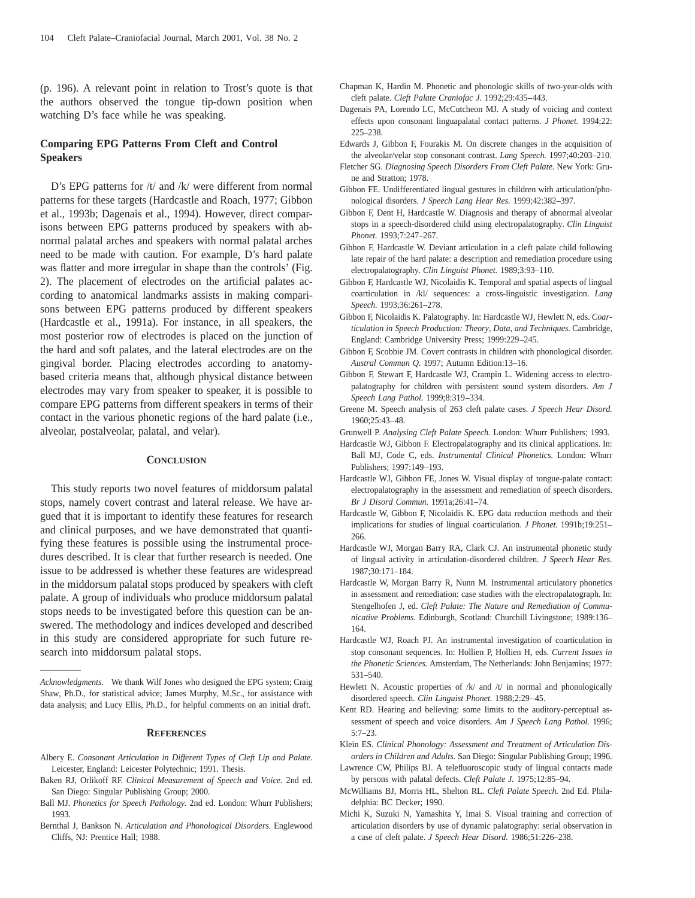(p. 196). A relevant point in relation to Trost's quote is that the authors observed the tongue tip-down position when watching D's face while he was speaking.

# **Comparing EPG Patterns From Cleft and Control Speakers**

D's EPG patterns for /t/ and /k/ were different from normal patterns for these targets (Hardcastle and Roach, 1977; Gibbon et al., 1993b; Dagenais et al., 1994). However, direct comparisons between EPG patterns produced by speakers with abnormal palatal arches and speakers with normal palatal arches need to be made with caution. For example, D's hard palate was flatter and more irregular in shape than the controls' (Fig. 2). The placement of electrodes on the artificial palates according to anatomical landmarks assists in making comparisons between EPG patterns produced by different speakers (Hardcastle et al., 1991a). For instance, in all speakers, the most posterior row of electrodes is placed on the junction of the hard and soft palates, and the lateral electrodes are on the gingival border. Placing electrodes according to anatomybased criteria means that, although physical distance between electrodes may vary from speaker to speaker, it is possible to compare EPG patterns from different speakers in terms of their contact in the various phonetic regions of the hard palate (i.e., alveolar, postalveolar, palatal, and velar).

#### **CONCLUSION**

This study reports two novel features of middorsum palatal stops, namely covert contrast and lateral release. We have argued that it is important to identify these features for research and clinical purposes, and we have demonstrated that quantifying these features is possible using the instrumental procedures described. It is clear that further research is needed. One issue to be addressed is whether these features are widespread in the middorsum palatal stops produced by speakers with cleft palate. A group of individuals who produce middorsum palatal stops needs to be investigated before this question can be answered. The methodology and indices developed and described in this study are considered appropriate for such future research into middorsum palatal stops.

#### **REFERENCES**

- Albery E. *Consonant Articulation in Different Types of Cleft Lip and Palate.* Leicester, England: Leicester Polytechnic; 1991. Thesis.
- Baken RJ, Orlikoff RF. *Clinical Measurement of Speech and Voice.* 2nd ed. San Diego: Singular Publishing Group; 2000.
- Ball MJ. *Phonetics for Speech Pathology.* 2nd ed. London: Whurr Publishers; 1993.
- Bernthal J, Bankson N. *Articulation and Phonological Disorders.* Englewood Cliffs, NJ: Prentice Hall; 1988.
- Chapman K, Hardin M. Phonetic and phonologic skills of two-year-olds with cleft palate. *Cleft Palate Craniofac J.* 1992;29:435–443.
- Dagenais PA, Lorendo LC, McCutcheon MJ. A study of voicing and context effects upon consonant linguapalatal contact patterns. *J Phonet.* 1994;22: 225–238.
- Edwards J, Gibbon F, Fourakis M. On discrete changes in the acquisition of the alveolar/velar stop consonant contrast. *Lang Speech.* 1997;40:203–210.
- Fletcher SG. *Diagnosing Speech Disorders From Cleft Palate.* New York: Grune and Stratton; 1978.
- Gibbon FE. Undifferentiated lingual gestures in children with articulation/phonological disorders. *J Speech Lang Hear Res.* 1999;42:382–397.
- Gibbon F, Dent H, Hardcastle W. Diagnosis and therapy of abnormal alveolar stops in a speech-disordered child using electropalatography. *Clin Linguist Phonet.* 1993;7:247–267.
- Gibbon F, Hardcastle W. Deviant articulation in a cleft palate child following late repair of the hard palate: a description and remediation procedure using electropalatography. *Clin Linguist Phonet.* 1989;3:93–110.
- Gibbon F, Hardcastle WJ, Nicolaidis K. Temporal and spatial aspects of lingual coarticulation in /kl/ sequences: a cross-linguistic investigation. *Lang Speech.* 1993;36:261–278.
- Gibbon F, Nicolaidis K. Palatography. In: Hardcastle WJ, Hewlett N, eds. *Coarticulation in Speech Production: Theory, Data, and Techniques.* Cambridge, England: Cambridge University Press; 1999:229–245.
- Gibbon F, Scobbie JM. Covert contrasts in children with phonological disorder. *Austral Commun Q.* 1997; Autumn Edition:13–16.
- Gibbon F, Stewart F, Hardcastle WJ, Crampin L. Widening access to electropalatography for children with persistent sound system disorders. *Am J Speech Lang Pathol.* 1999;8:319–334.
- Greene M. Speech analysis of 263 cleft palate cases. *J Speech Hear Disord.* 1960;25:43–48.
- Grunwell P. *Analysing Cleft Palate Speech.* London: Whurr Publishers; 1993.
- Hardcastle WJ, Gibbon F. Electropalatography and its clinical applications. In: Ball MJ, Code C, eds. *Instrumental Clinical Phonetics.* London: Whurr Publishers; 1997:149–193.
- Hardcastle WJ, Gibbon FE, Jones W. Visual display of tongue-palate contact: electropalatography in the assessment and remediation of speech disorders. *Br J Disord Commun.* 1991a;26:41–74.
- Hardcastle W, Gibbon F, Nicolaidis K. EPG data reduction methods and their implications for studies of lingual coarticulation. *J Phonet.* 1991b;19:251– 266.
- Hardcastle WJ, Morgan Barry RA, Clark CJ. An instrumental phonetic study of lingual activity in articulation-disordered children. *J Speech Hear Res.* 1987;30:171–184.
- Hardcastle W, Morgan Barry R, Nunn M. Instrumental articulatory phonetics in assessment and remediation: case studies with the electropalatograph. In: Stengelhofen J, ed. *Cleft Palate: The Nature and Remediation of Communicative Problems.* Edinburgh, Scotland: Churchill Livingstone; 1989:136– 164.
- Hardcastle WJ, Roach PJ. An instrumental investigation of coarticulation in stop consonant sequences. In: Hollien P, Hollien H, eds. *Current Issues in the Phonetic Sciences.* Amsterdam, The Netherlands: John Benjamins; 1977: 531–540.
- Hewlett N. Acoustic properties of  $/k/$  and  $/t/$  in normal and phonologically disordered speech. *Clin Linguist Phonet.* 1988;2:29–45.
- Kent RD. Hearing and believing: some limits to the auditory-perceptual assessment of speech and voice disorders. *Am J Speech Lang Pathol.* 1996; 5:7–23.
- Klein ES. *Clinical Phonology: Assessment and Treatment of Articulation Disorders in Children and Adults.* San Diego: Singular Publishing Group; 1996.
- Lawrence CW, Philips BJ. A telefluoroscopic study of lingual contacts made by persons with palatal defects. *Cleft Palate J.* 1975;12:85–94.
- McWilliams BJ, Morris HL, Shelton RL. *Cleft Palate Speech.* 2nd Ed. Philadelphia: BC Decker; 1990.
- Michi K, Suzuki N, Yamashita Y, Imai S. Visual training and correction of articulation disorders by use of dynamic palatography: serial observation in a case of cleft palate. *J Speech Hear Disord.* 1986;51:226–238.

*Acknowledgments.* We thank Wilf Jones who designed the EPG system; Craig Shaw, Ph.D., for statistical advice; James Murphy, M.Sc., for assistance with data analysis; and Lucy Ellis, Ph.D., for helpful comments on an initial draft.